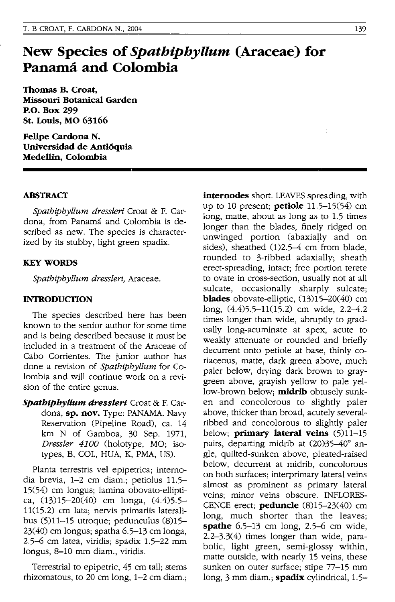# **New Species of** *SpathiphyUum* **(Araceae) for Panama and Colombia**

**Thomas B. Croat, Missouri Botanical Garden P.o. Box 299 st. Louis, MO 63166** 

**Felipe Cardona N. Universidad de Antioquia Medellin, Colombia** 

## **ABSTRACT**

*Spatbipbyllum dresslen* Croat & F. Cardona, from Panama and Colombia is described as new. The species is characterized by its stubby, light green spadix.

#### **KEY WORDS**

*Spatbipbyllum dresslen,* Araceae.

### **INTRODUCTION**

The species described here has been known to the senior author for some time and is being described because it must be included in a treatment of the Araceae of Cabo Corrientes. The junior author has done a revision of *Spatbipbyllum* for Colombia and will continue work on a revision of the entire genus.

*SpatbipbyUum dressleri* Croat & F. Cardona, sp. nov. Type: PANAMA. Navy Reservation (Pipeline Road), ca. 14 km N of Gamboa, 30 Sep. 1971, *Dressler 4100* (holotype, MO; isotypes, B, COL, HUA, K, PMA, US).

Planta terrestris vel epipetrica; internodia brevia, 1-2 cm diam.; petiolus 11.5- 15(54) cm longus; lamina obovato-elliptica, (3)15-20(40) cm longa, (4.4)5.5- 11(15.2) cm lata; nervis primariis lateralibus (5)11-15 utroque; pedunculus (8)15- 23(40) cm longus; spatha 6.5-13 cm longa, 2.5-6 cm latea, viridis; spadix 1.5-22 mm longus, 8-10 mm diam., viridis.

Terrestrial to epipetric, 45 cm tall; stems rhizomatous, to 20 cm long, 1-2 cm diam.; **internodes** short. LEAVES spreading, with up to 10 present; **petiole** 11.5-15(54) cm long, matte, about as long as to 1.5 times longer than the blades, finely ridged on unwinged portion (abaxially and on sides), sheathed  $(1)2.5-4$  cm from blade, rounded to 3-ribbed adaxially; sheath erect-spreading, intact; free portion terete to ovate in cross-section, usually not at all sulcate, occasionally sharply sulcate; **blades** obovate-elliptic, (13)15-20(40) cm long, (4.4)5.5-11(15.2) cm wide, 2.2-4.2 times longer than wide, abruptly to gradually long-acuminate at apex, acute to weakly attenuate or rounded and briefly decurrent onto petiole at base, thinly coriaceous, matte, dark green above, much paler below, drying dark brown to graygreen above, grayish yellow to pale yellow-brown below; **midrib** obtusely sunken and concolorous to slightly paler above, thicker than broad, acutely severalribbed and concolorous to slightly paler below; **primary lateral veins** (5)11-15 pairs, departing midrib at (20)35-40° angle, quilted-sunken above, pleated-raised below, decurrent at midrib, concolorous on both surfaces; interprimary lateral veins almost as prominent as primary lateral veins; minor veins obscure. INFLORES-CENCE erect; **peduncle** (8)15-23(40) cm long, much shorter than the leaves; **spathe** 6.5-13 cm long, 2.5-6 cm wide, 2.2-3.3(4) times longer than wide, parabolic, light green, semi-glossy within, matte outside, with nearly 15 veins, these sunken on outer surface; stipe 77-15 mm long, 3 mm diam.; **spadix** cylindrical, 1.5-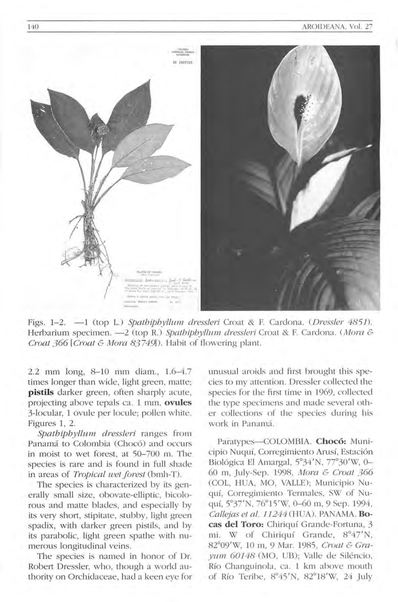

Figs. 1-2. -1 (top L.) Spathiphyllum dressleri Croat & F. Cardona. (Dressler 4851). Herbarium specimen. - 2 (top R.) Spathiphyllum dressleri Croat & F. Cardona. (Mora & Croat 366 [Croat & Mora 83749]). Habit of flowering plant.

2.2 mm long, 8-10 mm diam., 1.6-4.7 times longer than wide, light green, matte; pistils darker green, often sharply acute, projecting above tepals ca. 1 mm, ovules 3-locular, 1 ovule per locule; pollen white. Figures 1, 2.

Spathiphyllum dressleri ranges from Panamá to Colombia (Chocó) and occurs in moist to wet forest, at 50-700 m. The species is rare and is found in full shade in areas of Tropical wet forest (bmh-T).

The species is characterized by its generally small size, obovate-elliptic, bicolorous and matte blades, and especially by its very short, stipitate, stubby, light green spadix, with darker green pistils, and by its parabolic, light green spathe with numerous longitudinal veins.

The species is named in honor of Dr. Robert Dressler, who, though a world authority on Orchidaceae, had a keen eye for unusual aroids and first brought this species to my attention. Dressler collected the species for the first time in 1969, collected the type specimens and made several other collections of the species during his work in Panamá.

Paratypes-COLOMBIA. Chocó: Municipio Nuquí, Corregimiento Arusí, Estación Biológica El Amargal, 5°34'N, 77°30'W, 0-60 m, July-Sep. 1998, Mora & Croat 366 (COL, HUA, MO, VALLE); Municipio Nuquí, Corregimiento Termales, SW of Nuquí, 5°37'N, 76°15'W, 0-60 m, 9 Sep. 1994, Callejas et al. 11244 (HUA). PANAMA. Bocas del Toro: Chiriquí Grande-Fortuna, 3 W of Chiriquí Grande, 8°47'N, mi. 82°09'W, 10 m, 9 Mar. 1985, Croat & Gravum 60148 (MO, UB): Valle de Siléncio, Río Changuinola, ca. 1 km above mouth of Río Teribe, 8°45'N, 82°18'W, 24 July